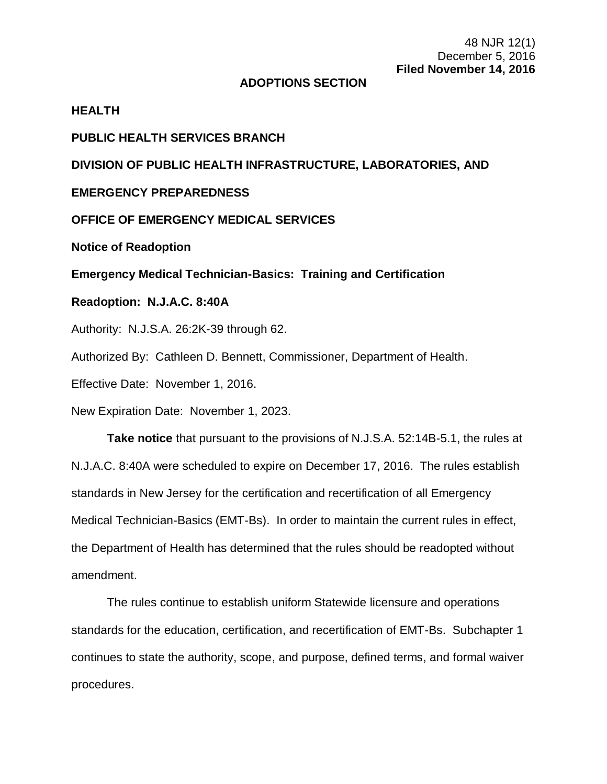#### **ADOPTIONS SECTION**

#### **HEALTH**

# **PUBLIC HEALTH SERVICES BRANCH**

# **DIVISION OF PUBLIC HEALTH INFRASTRUCTURE, LABORATORIES, AND**

# **EMERGENCY PREPAREDNESS**

#### **OFFICE OF EMERGENCY MEDICAL SERVICES**

**Notice of Readoption**

**Emergency Medical Technician-Basics: Training and Certification**

# **Readoption: N.J.A.C. 8:40A**

Authority: N.J.S.A. 26:2K-39 through 62.

Authorized By: Cathleen D. Bennett, Commissioner, Department of Health.

Effective Date: November 1, 2016.

New Expiration Date: November 1, 2023.

**Take notice** that pursuant to the provisions of N.J.S.A. 52:14B-5.1, the rules at N.J.A.C. 8:40A were scheduled to expire on December 17, 2016. The rules establish standards in New Jersey for the certification and recertification of all Emergency Medical Technician-Basics (EMT-Bs). In order to maintain the current rules in effect, the Department of Health has determined that the rules should be readopted without amendment.

The rules continue to establish uniform Statewide licensure and operations standards for the education, certification, and recertification of EMT-Bs. Subchapter 1 continues to state the authority, scope, and purpose, defined terms, and formal waiver procedures.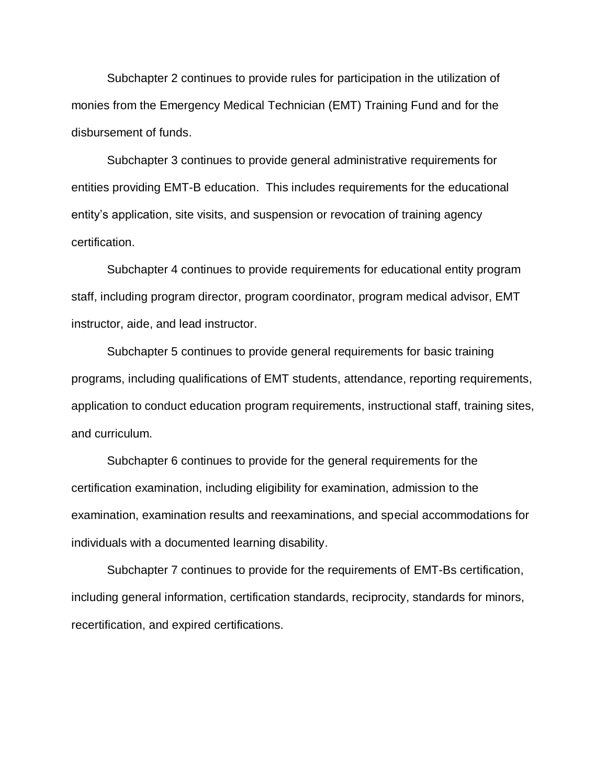Subchapter 2 continues to provide rules for participation in the utilization of monies from the Emergency Medical Technician (EMT) Training Fund and for the disbursement of funds.

Subchapter 3 continues to provide general administrative requirements for entities providing EMT-B education. This includes requirements for the educational entity's application, site visits, and suspension or revocation of training agency certification.

Subchapter 4 continues to provide requirements for educational entity program staff, including program director, program coordinator, program medical advisor, EMT instructor, aide, and lead instructor.

Subchapter 5 continues to provide general requirements for basic training programs, including qualifications of EMT students, attendance, reporting requirements, application to conduct education program requirements, instructional staff, training sites, and curriculum.

Subchapter 6 continues to provide for the general requirements for the certification examination, including eligibility for examination, admission to the examination, examination results and reexaminations, and special accommodations for individuals with a documented learning disability.

Subchapter 7 continues to provide for the requirements of EMT-Bs certification, including general information, certification standards, reciprocity, standards for minors, recertification, and expired certifications.